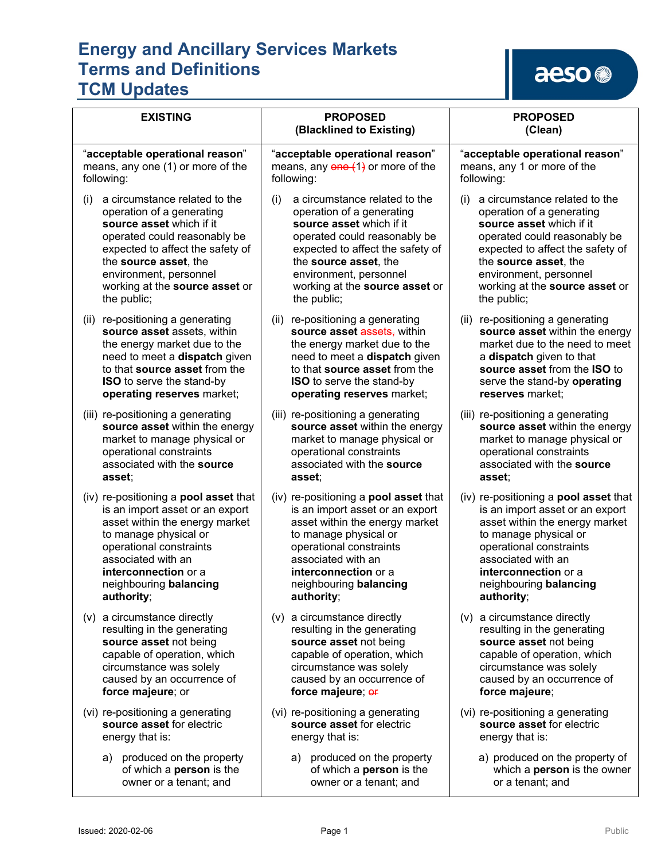# aeso

| <b>EXISTING</b>                                                                      | <b>PROPOSED</b><br>(Blacklined to Existing)                                          | <b>PROPOSED</b><br>(Clean)                                                        |
|--------------------------------------------------------------------------------------|--------------------------------------------------------------------------------------|-----------------------------------------------------------------------------------|
| "acceptable operational reason"                                                      | "acceptable operational reason"                                                      | "acceptable operational reason"                                                   |
| means, any one (1) or more of the                                                    | means, any $\theta$ ne $(1)$ or more of the                                          | means, any 1 or more of the                                                       |
| following:                                                                           | following:                                                                           | following:                                                                        |
| a circumstance related to the                                                        | (i)                                                                                  | a circumstance related to the                                                     |
| (i)                                                                                  | a circumstance related to the                                                        | (1)                                                                               |
| operation of a generating                                                            | operation of a generating                                                            | operation of a generating                                                         |
| source asset which if it                                                             | source asset which if it                                                             | source asset which if it                                                          |
| operated could reasonably be                                                         | operated could reasonably be                                                         | operated could reasonably be                                                      |
| expected to affect the safety of                                                     | expected to affect the safety of                                                     | expected to affect the safety of                                                  |
| the source asset, the                                                                | the source asset, the                                                                | the source asset, the                                                             |
| environment, personnel                                                               | environment, personnel                                                               | environment, personnel                                                            |
| working at the source asset or                                                       | working at the source asset or                                                       | working at the source asset or                                                    |
| the public;                                                                          | the public;                                                                          | the public;                                                                       |
| re-positioning a generating                                                          | re-positioning a generating                                                          | re-positioning a generating                                                       |
| (ii)                                                                                 | (ii)                                                                                 | (ii)                                                                              |
| source asset assets, within                                                          | source asset assets, within                                                          | source asset within the energy                                                    |
| the energy market due to the                                                         | the energy market due to the                                                         | market due to the need to meet                                                    |
| need to meet a dispatch given                                                        | need to meet a dispatch given                                                        | a dispatch given to that                                                          |
| to that source asset from the                                                        | to that source asset from the                                                        | source asset from the ISO to                                                      |
| ISO to serve the stand-by                                                            | <b>ISO</b> to serve the stand-by                                                     | serve the stand-by operating                                                      |
| operating reserves market;                                                           | operating reserves market;                                                           | reserves market:                                                                  |
| (iii) re-positioning a generating                                                    | (iii) re-positioning a generating                                                    | (iii) re-positioning a generating                                                 |
| source asset within the energy                                                       | source asset within the energy                                                       | source asset within the energy                                                    |
| market to manage physical or                                                         | market to manage physical or                                                         | market to manage physical or                                                      |
| operational constraints                                                              | operational constraints                                                              | operational constraints                                                           |
| associated with the source                                                           | associated with the source                                                           | associated with the source                                                        |
| asset;                                                                               | asset;                                                                               | asset;                                                                            |
| (iv) re-positioning a <b>pool asset</b> that                                         | (iv) re-positioning a <b>pool asset</b> that                                         | (iv) re-positioning a <b>pool asset</b> that                                      |
| is an import asset or an export                                                      | is an import asset or an export                                                      | is an import asset or an export                                                   |
| asset within the energy market                                                       | asset within the energy market                                                       | asset within the energy market                                                    |
| to manage physical or                                                                | to manage physical or                                                                | to manage physical or                                                             |
| operational constraints                                                              | operational constraints                                                              | operational constraints                                                           |
| associated with an                                                                   | associated with an                                                                   | associated with an                                                                |
| interconnection or a                                                                 | interconnection or a                                                                 | interconnection or a                                                              |
| neighbouring balancing                                                               | neighbouring balancing                                                               | neighbouring balancing                                                            |
| authority;                                                                           | authority;                                                                           | authority;                                                                        |
| (v) a circumstance directly                                                          | (v) a circumstance directly                                                          | (v) a circumstance directly                                                       |
| resulting in the generating                                                          | resulting in the generating                                                          | resulting in the generating                                                       |
| source asset not being                                                               | source asset not being                                                               | source asset not being                                                            |
| capable of operation, which                                                          | capable of operation, which                                                          | capable of operation, which                                                       |
| circumstance was solely                                                              | circumstance was solely                                                              | circumstance was solely                                                           |
| caused by an occurrence of                                                           | caused by an occurrence of                                                           | caused by an occurrence of                                                        |
| force majeure; or                                                                    | force majeure; or                                                                    | force majeure;                                                                    |
| (vi) re-positioning a generating                                                     | (vi) re-positioning a generating                                                     | (vi) re-positioning a generating                                                  |
| source asset for electric                                                            | source asset for electric                                                            | source asset for electric                                                         |
| energy that is:                                                                      | energy that is:                                                                      | energy that is:                                                                   |
| produced on the property<br>a)<br>of which a person is the<br>owner or a tenant; and | produced on the property<br>a)<br>of which a person is the<br>owner or a tenant; and | a) produced on the property of<br>which a person is the owner<br>or a tenant; and |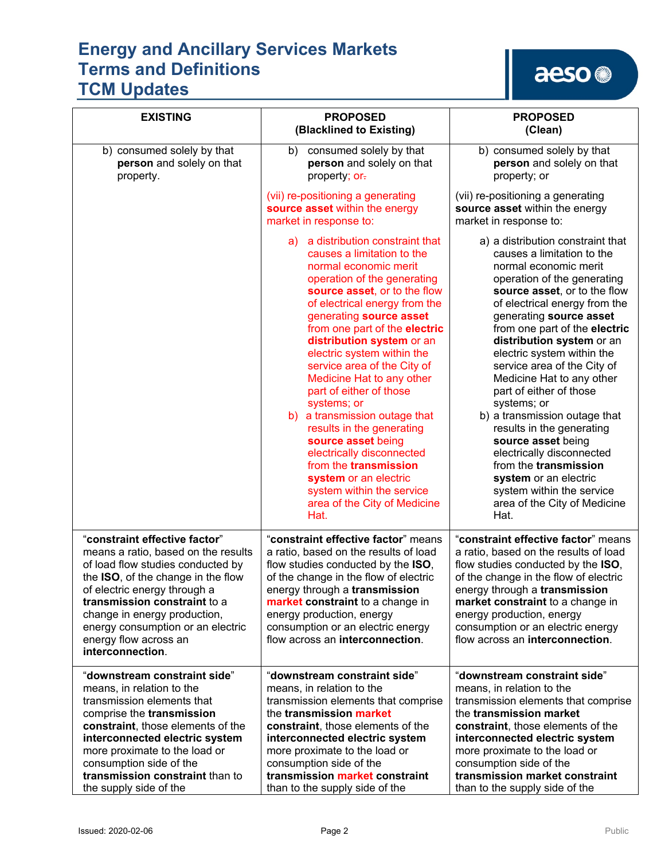## aeso<sup>®</sup>

| <b>EXISTING</b>                                                                                                                                                                                                                                                                                                                   | <b>PROPOSED</b><br>(Blacklined to Existing)                                                                                                                                                                                                                                                                                                                                                                                                                                                                                                                                                                                                                          | <b>PROPOSED</b><br>(Clean)                                                                                                                                                                                                                                                                                                                                                                                                                                                                                                                                                                                                                                    |
|-----------------------------------------------------------------------------------------------------------------------------------------------------------------------------------------------------------------------------------------------------------------------------------------------------------------------------------|----------------------------------------------------------------------------------------------------------------------------------------------------------------------------------------------------------------------------------------------------------------------------------------------------------------------------------------------------------------------------------------------------------------------------------------------------------------------------------------------------------------------------------------------------------------------------------------------------------------------------------------------------------------------|---------------------------------------------------------------------------------------------------------------------------------------------------------------------------------------------------------------------------------------------------------------------------------------------------------------------------------------------------------------------------------------------------------------------------------------------------------------------------------------------------------------------------------------------------------------------------------------------------------------------------------------------------------------|
| b) consumed solely by that<br>person and solely on that<br>property.                                                                                                                                                                                                                                                              | b) consumed solely by that<br>person and solely on that<br>property; or-                                                                                                                                                                                                                                                                                                                                                                                                                                                                                                                                                                                             | b) consumed solely by that<br>person and solely on that<br>property; or                                                                                                                                                                                                                                                                                                                                                                                                                                                                                                                                                                                       |
|                                                                                                                                                                                                                                                                                                                                   | (vii) re-positioning a generating<br>source asset within the energy<br>market in response to:                                                                                                                                                                                                                                                                                                                                                                                                                                                                                                                                                                        | (vii) re-positioning a generating<br>source asset within the energy<br>market in response to:                                                                                                                                                                                                                                                                                                                                                                                                                                                                                                                                                                 |
|                                                                                                                                                                                                                                                                                                                                   | a) a distribution constraint that<br>causes a limitation to the<br>normal economic merit<br>operation of the generating<br>source asset, or to the flow<br>of electrical energy from the<br>generating source asset<br>from one part of the electric<br>distribution system or an<br>electric system within the<br>service area of the City of<br>Medicine Hat to any other<br>part of either of those<br>systems; or<br>b) a transmission outage that<br>results in the generating<br>source asset being<br>electrically disconnected<br>from the <b>transmission</b><br>system or an electric<br>system within the service<br>area of the City of Medicine<br>Hat. | a) a distribution constraint that<br>causes a limitation to the<br>normal economic merit<br>operation of the generating<br>source asset, or to the flow<br>of electrical energy from the<br>generating source asset<br>from one part of the electric<br>distribution system or an<br>electric system within the<br>service area of the City of<br>Medicine Hat to any other<br>part of either of those<br>systems; or<br>b) a transmission outage that<br>results in the generating<br>source asset being<br>electrically disconnected<br>from the transmission<br>system or an electric<br>system within the service<br>area of the City of Medicine<br>Hat. |
| "constraint effective factor"<br>means a ratio, based on the results<br>of load flow studies conducted by<br>the ISO, of the change in the flow<br>of electric energy through a<br>transmission constraint to a<br>change in energy production,<br>energy consumption or an electric<br>energy flow across an<br>interconnection. | "constraint effective factor" means<br>a ratio, based on the results of load<br>flow studies conducted by the ISO,<br>of the change in the flow of electric<br>energy through a transmission<br>market constraint to a change in<br>energy production, energy<br>consumption or an electric energy<br>flow across an interconnection.                                                                                                                                                                                                                                                                                                                                | "constraint effective factor" means<br>a ratio, based on the results of load<br>flow studies conducted by the ISO,<br>of the change in the flow of electric<br>energy through a transmission<br>market constraint to a change in<br>energy production, energy<br>consumption or an electric energy<br>flow across an interconnection.                                                                                                                                                                                                                                                                                                                         |
| "downstream constraint side"<br>means, in relation to the<br>transmission elements that<br>comprise the transmission<br>constraint, those elements of the<br>interconnected electric system<br>more proximate to the load or<br>consumption side of the<br>transmission constraint than to<br>the supply side of the              | "downstream constraint side"<br>means, in relation to the<br>transmission elements that comprise<br>the transmission market<br>constraint, those elements of the<br>interconnected electric system<br>more proximate to the load or<br>consumption side of the<br>transmission market constraint<br>than to the supply side of the                                                                                                                                                                                                                                                                                                                                   | "downstream constraint side"<br>means, in relation to the<br>transmission elements that comprise<br>the transmission market<br>constraint, those elements of the<br>interconnected electric system<br>more proximate to the load or<br>consumption side of the<br>transmission market constraint<br>than to the supply side of the                                                                                                                                                                                                                                                                                                                            |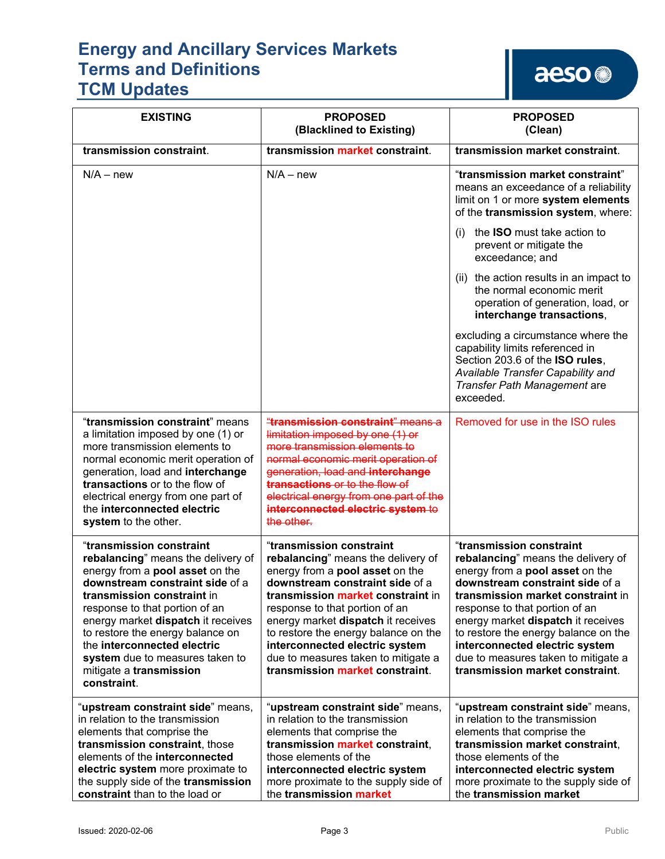aeso<sup>®</sup>

| <b>EXISTING</b>                                                                                                                                                                                                                                                                                                                                                                            | <b>PROPOSED</b><br>(Blacklined to Existing)                                                                                                                                                                                                                                                                                                                                                           | <b>PROPOSED</b><br>(Clean)                                                                                                                                                                                                                                                                                                                                                                            |
|--------------------------------------------------------------------------------------------------------------------------------------------------------------------------------------------------------------------------------------------------------------------------------------------------------------------------------------------------------------------------------------------|-------------------------------------------------------------------------------------------------------------------------------------------------------------------------------------------------------------------------------------------------------------------------------------------------------------------------------------------------------------------------------------------------------|-------------------------------------------------------------------------------------------------------------------------------------------------------------------------------------------------------------------------------------------------------------------------------------------------------------------------------------------------------------------------------------------------------|
| transmission constraint.                                                                                                                                                                                                                                                                                                                                                                   | transmission market constraint.                                                                                                                                                                                                                                                                                                                                                                       | transmission market constraint.                                                                                                                                                                                                                                                                                                                                                                       |
| $N/A - new$                                                                                                                                                                                                                                                                                                                                                                                | $N/A - new$                                                                                                                                                                                                                                                                                                                                                                                           | "transmission market constraint"<br>means an exceedance of a reliability<br>limit on 1 or more system elements<br>of the transmission system, where:                                                                                                                                                                                                                                                  |
|                                                                                                                                                                                                                                                                                                                                                                                            |                                                                                                                                                                                                                                                                                                                                                                                                       | the <b>ISO</b> must take action to<br>(1)<br>prevent or mitigate the<br>exceedance; and                                                                                                                                                                                                                                                                                                               |
|                                                                                                                                                                                                                                                                                                                                                                                            |                                                                                                                                                                                                                                                                                                                                                                                                       | (ii) the action results in an impact to<br>the normal economic merit<br>operation of generation, load, or<br>interchange transactions,                                                                                                                                                                                                                                                                |
|                                                                                                                                                                                                                                                                                                                                                                                            |                                                                                                                                                                                                                                                                                                                                                                                                       | excluding a circumstance where the<br>capability limits referenced in<br>Section 203.6 of the ISO rules,<br>Available Transfer Capability and<br>Transfer Path Management are<br>exceeded.                                                                                                                                                                                                            |
| "transmission constraint" means<br>a limitation imposed by one (1) or<br>more transmission elements to<br>normal economic merit operation of<br>generation, load and interchange<br>transactions or to the flow of<br>electrical energy from one part of<br>the interconnected electric<br>system to the other.                                                                            | "transmission constraint" means a<br>limitation imposed by one (1) or<br>more transmission elements to<br>normal economic merit operation of<br>generation, load and interchange<br>transactions or to the flow of<br>electrical energy from one part of the<br>interconnected electric system to<br>the other.                                                                                       | Removed for use in the ISO rules                                                                                                                                                                                                                                                                                                                                                                      |
| "transmission constraint<br>rebalancing" means the delivery of<br>energy from a pool asset on the<br>downstream constraint side of a<br>transmission constraint in<br>response to that portion of an<br>energy market dispatch it receives<br>to restore the energy balance on<br>the interconnected electric<br>system due to measures taken to<br>mitigate a transmission<br>constraint. | "transmission constraint<br>rebalancing" means the delivery of<br>energy from a pool asset on the<br>downstream constraint side of a<br>transmission market constraint in<br>response to that portion of an<br>energy market dispatch it receives<br>to restore the energy balance on the<br>interconnected electric system<br>due to measures taken to mitigate a<br>transmission market constraint. | "transmission constraint<br>rebalancing" means the delivery of<br>energy from a pool asset on the<br>downstream constraint side of a<br>transmission market constraint in<br>response to that portion of an<br>energy market dispatch it receives<br>to restore the energy balance on the<br>interconnected electric system<br>due to measures taken to mitigate a<br>transmission market constraint. |
| "upstream constraint side" means,<br>in relation to the transmission<br>elements that comprise the<br>transmission constraint, those<br>elements of the interconnected<br>electric system more proximate to<br>the supply side of the transmission<br>constraint than to the load or                                                                                                       | "upstream constraint side" means,<br>in relation to the transmission<br>elements that comprise the<br>transmission market constraint,<br>those elements of the<br>interconnected electric system<br>more proximate to the supply side of<br>the transmission market                                                                                                                                   | "upstream constraint side" means,<br>in relation to the transmission<br>elements that comprise the<br>transmission market constraint,<br>those elements of the<br>interconnected electric system<br>more proximate to the supply side of<br>the transmission market                                                                                                                                   |